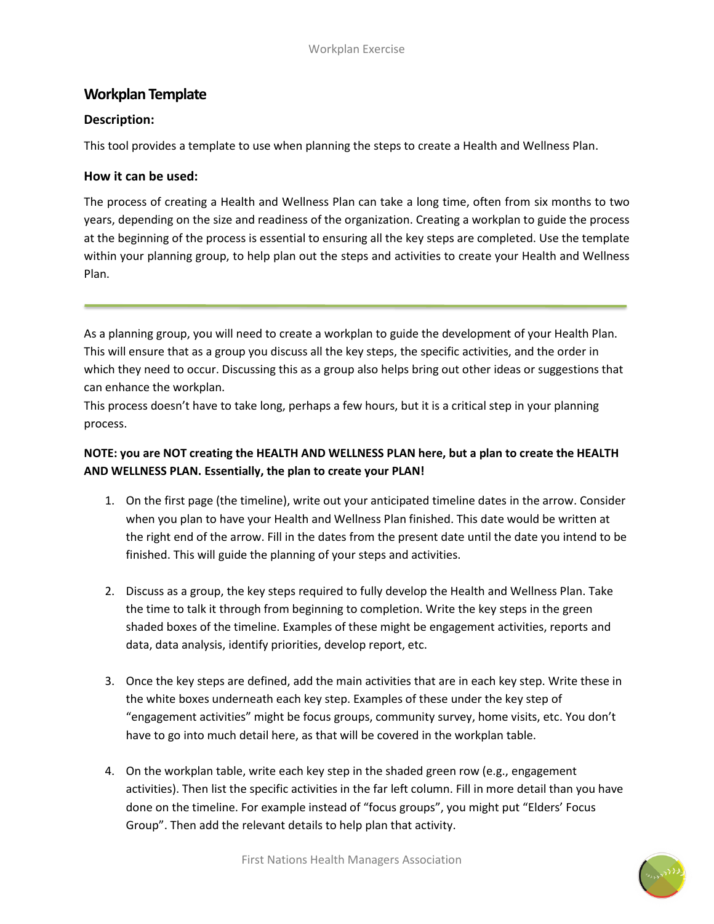# **Workplan Template**

#### **Description:**

This tool provides a template to use when planning the steps to create a Health and Wellness Plan.

### **How it can be used:**

The process of creating a Health and Wellness Plan can take a long time, often from six months to two years, depending on the size and readiness of the organization. Creating a workplan to guide the process at the beginning of the process is essential to ensuring all the key steps are completed. Use the template within your planning group, to help plan out the steps and activities to create your Health and Wellness Plan.

As a planning group, you will need to create a workplan to guide the development of your Health Plan. This will ensure that as a group you discuss all the key steps, the specific activities, and the order in which they need to occur. Discussing this as a group also helps bring out other ideas or suggestions that can enhance the workplan.

This process doesn't have to take long, perhaps a few hours, but it is a critical step in your planning process.

## **NOTE: you are NOT creating the HEALTH AND WELLNESS PLAN here, but a plan to create the HEALTH AND WELLNESS PLAN. Essentially, the plan to create your PLAN!**

- 1. On the first page (the timeline), write out your anticipated timeline dates in the arrow. Consider when you plan to have your Health and Wellness Plan finished. This date would be written at the right end of the arrow. Fill in the dates from the present date until the date you intend to be finished. This will guide the planning of your steps and activities.
- 2. Discuss as a group, the key steps required to fully develop the Health and Wellness Plan. Take the time to talk it through from beginning to completion. Write the key steps in the green shaded boxes of the timeline. Examples of these might be engagement activities, reports and data, data analysis, identify priorities, develop report, etc.
- 3. Once the key steps are defined, add the main activities that are in each key step. Write these in the white boxes underneath each key step. Examples of these under the key step of "engagement activities" might be focus groups, community survey, home visits, etc. You don't have to go into much detail here, as that will be covered in the workplan table.
- 4. On the workplan table, write each key step in the shaded green row (e.g., engagement activities). Then list the specific activities in the far left column. Fill in more detail than you have done on the timeline. For example instead of "focus groups", you might put "Elders' Focus Group". Then add the relevant details to help plan that activity.

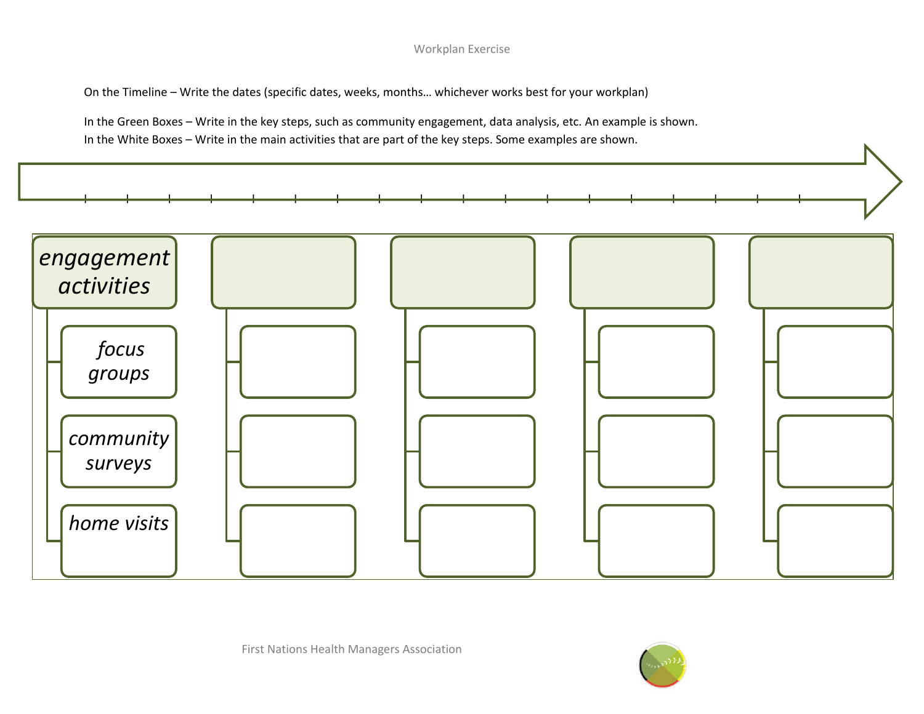#### Workplan Exercise

On the Timeline – Write the dates (specific dates, weeks, months… whichever works best for your workplan)

In the Green Boxes – Write in the key steps, such as community engagement, data analysis, etc. An example is shown. In the White Boxes – Write in the main activities that are part of the key steps. Some examples are shown.



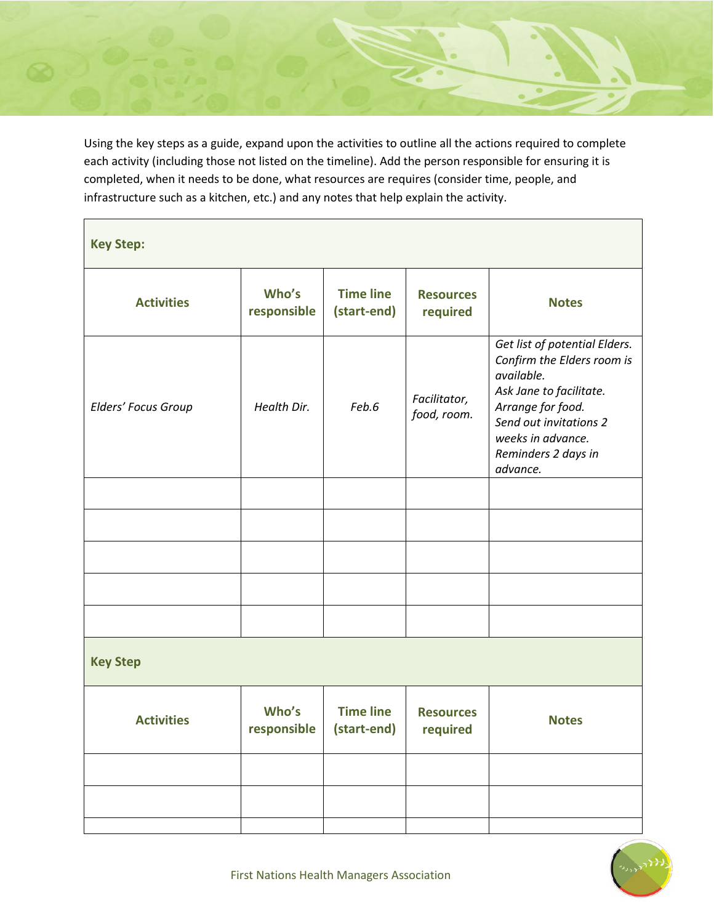Using the key steps as a guide, expand upon the activities to outline all the actions required to complete each activity (including those not listed on the timeline). Add the person responsible for ensuring it is completed, when it needs to be done, what resources are requires (consider time, people, and infrastructure such as a kitchen, etc.) and any notes that help explain the activity.

| <b>Key Step:</b>    |                      |                                 |                              |                                                                                                                                                                                                             |  |  |  |
|---------------------|----------------------|---------------------------------|------------------------------|-------------------------------------------------------------------------------------------------------------------------------------------------------------------------------------------------------------|--|--|--|
| <b>Activities</b>   | Who's<br>responsible | <b>Time line</b><br>(start-end) | <b>Resources</b><br>required | <b>Notes</b>                                                                                                                                                                                                |  |  |  |
| Elders' Focus Group | Health Dir.          | Feb.6                           | Facilitator,<br>food, room.  | Get list of potential Elders.<br>Confirm the Elders room is<br>available.<br>Ask Jane to facilitate.<br>Arrange for food.<br>Send out invitations 2<br>weeks in advance.<br>Reminders 2 days in<br>advance. |  |  |  |
|                     |                      |                                 |                              |                                                                                                                                                                                                             |  |  |  |
|                     |                      |                                 |                              |                                                                                                                                                                                                             |  |  |  |
|                     |                      |                                 |                              |                                                                                                                                                                                                             |  |  |  |
|                     |                      |                                 |                              |                                                                                                                                                                                                             |  |  |  |
|                     |                      |                                 |                              |                                                                                                                                                                                                             |  |  |  |
| <b>Key Step</b>     |                      |                                 |                              |                                                                                                                                                                                                             |  |  |  |
| <b>Activities</b>   | Who's<br>responsible | <b>Time line</b><br>(start-end) | <b>Resources</b><br>required | <b>Notes</b>                                                                                                                                                                                                |  |  |  |
|                     |                      |                                 |                              |                                                                                                                                                                                                             |  |  |  |
|                     |                      |                                 |                              |                                                                                                                                                                                                             |  |  |  |
|                     |                      |                                 |                              |                                                                                                                                                                                                             |  |  |  |

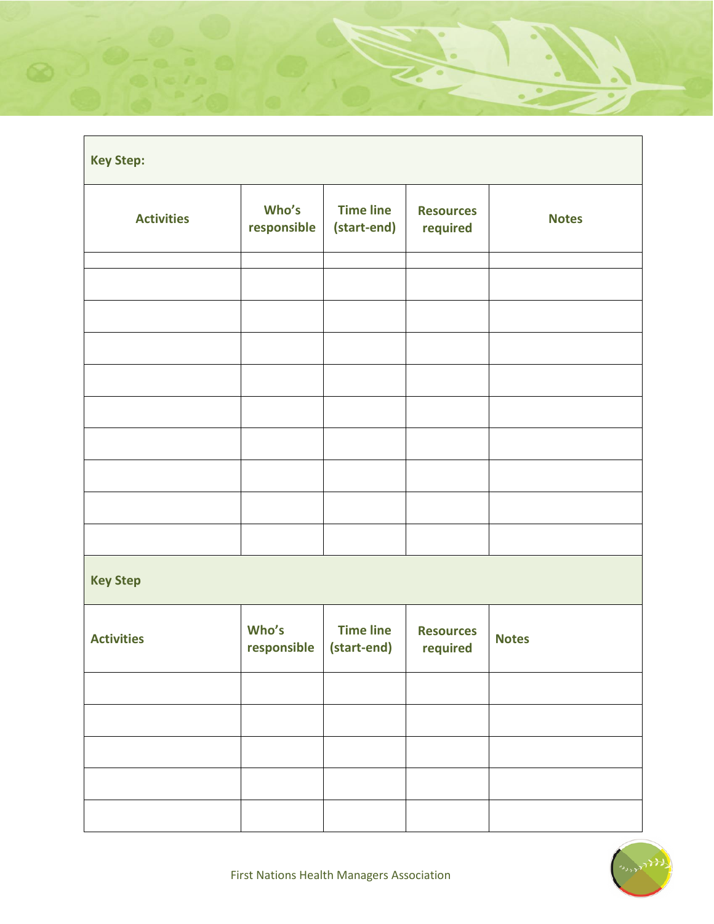| <b>Key Step:</b>  |                      |                                 |                              |              |  |  |  |
|-------------------|----------------------|---------------------------------|------------------------------|--------------|--|--|--|
| <b>Activities</b> | Who's<br>responsible | <b>Time line</b><br>(start-end) | <b>Resources</b><br>required | <b>Notes</b> |  |  |  |
|                   |                      |                                 |                              |              |  |  |  |
|                   |                      |                                 |                              |              |  |  |  |
|                   |                      |                                 |                              |              |  |  |  |
|                   |                      |                                 |                              |              |  |  |  |
|                   |                      |                                 |                              |              |  |  |  |
|                   |                      |                                 |                              |              |  |  |  |
|                   |                      |                                 |                              |              |  |  |  |
|                   |                      |                                 |                              |              |  |  |  |
|                   |                      |                                 |                              |              |  |  |  |
|                   |                      |                                 |                              |              |  |  |  |
| <b>Key Step</b>   |                      |                                 |                              |              |  |  |  |
| <b>Activities</b> | Who's<br>responsible | <b>Time line</b><br>(start-end) | <b>Resources</b><br>required | <b>Notes</b> |  |  |  |
|                   |                      |                                 |                              |              |  |  |  |
|                   |                      |                                 |                              |              |  |  |  |
|                   |                      |                                 |                              |              |  |  |  |
|                   |                      |                                 |                              |              |  |  |  |
|                   |                      |                                 |                              |              |  |  |  |